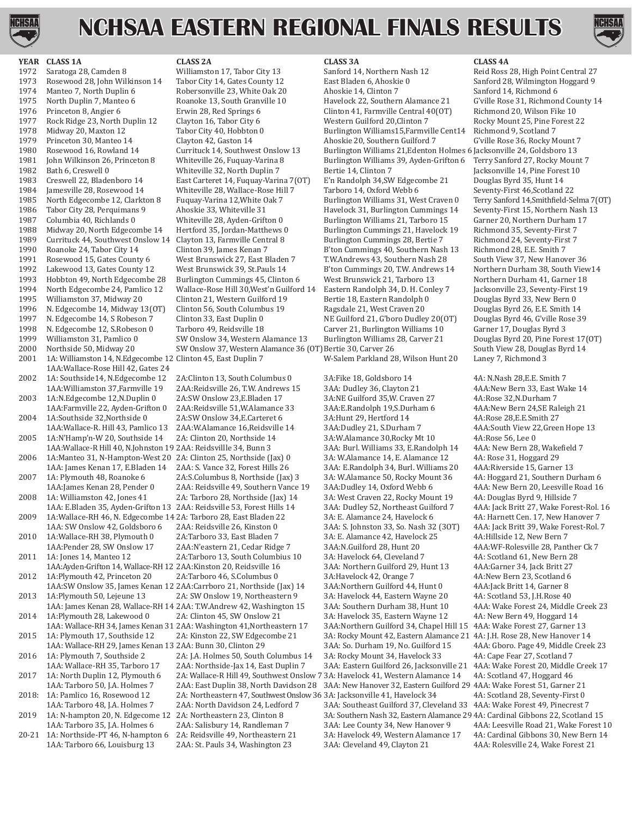

# **NCHSAA EASTERN REGIONAL FINALS RESULTS**



## **YEAR CLASS 1A CLASS 2A CLASS 3A CLASS 4A**

1972 Saratoga 28, Camden 8 Williamston 17, Tabor City 13 Sanford 14, Northern Nash 12 Reid Ross 28, High Point Central 27 1973 Rosewood 28, John Wilkinson 14 Tabor City 14, Gates County 12 East Bladen 6, Ahoskie 0 Sanford 28, Wilmington Hoggard 9<br>1974 Manteo 7, North Duplin 6 Robersonville 23, White Oak 20 Ahoskie 14, Clinton 7 Sanford 14, Ri 1974 Manteo 7, North Duplin 6 Robersonville 23, White Oak 20 Ahoskie 14, Clinton 7<br>1975 North Duplin 7, Manteo 6 Roanoke 13, South Granville 10 Havelock 22, Southern Alamance 21 1975 North Duplin 7, Manteo 6 Roanoke 13, South Granville 10 Havelock 22, Southern Alamance 21 G'ville Rose 31, Richmond County 14<br>1976 Princeton 8, Angier 6 Frwin 28, Red Springs 6 Clinton 41, Farmville Central 40(OT) Ric 1976 Princeton 8, Angier 6 Erwin 28, Red Springs 6 Clinton 41, Farmville Central 40(OT) Richmond 20, Wilson Fike 10<br>1977 Rock Ridge 23, North Duplin 12 Clayton 16, Tabor City 6 Western Guilford 20, Clinton 7 Rocky Mount 25 1977 Rock Ridge 23, North Duplin 12 Clayton 16, Tabor City 6 Western Guilford 20, Clinton 7 Rocky Mount 25, Pine F<br>1978 Midway 20, Maxton 12 Tabor City 40, Hobbton 0 Burlington Williams 15, Farmville Cent 14 Richmond 9, Sc 1978 Midway 20, Maxton 12 Tabor City 40, Hobbton 0 Burlington Williams15, Farmville Cent14 Richmond 9, Scotland 7<br>1979 Princeton 30, Manteo 14 Clayton 42, Gaston 14 Ahoskie 20, Southern Guilford 7 G'ville Rose 36, Rocky Mo 1979 Princeton 30, Manteo 14 Clayton 42, Gaston 14 Ahoskie 20, Southern Guilford 7<br>1980 Rosewood 16, Rowland 14 Currituck 14, Southwest Onslow 13 Burlington Williams 21, Edenton 1980 Rosewood 16, Rowland 14 Currituck 14, Southwest Onslow 13 Burlington Williams 21,Edenton Holmes 6 Jacksonville 24, Goldsboro 13 1981 John Wilkinson 26, Princeton 8 Whiteville 26, Fuquay-Varina 8 Burlington Williams 39, Ayden-Grifton 6<br>1982 Bath 6, Creswell 0 Whiteville 32, North Duplin 7 Bertie 14, Clinton 7 1982 Bath 6, Creswell 0 Whiteville 32, North Duplin 7 Bertie 14, Clinton 7 Jacksonville 14, Pine Forest 10 1983 Creswell 22, Bladenboro 14 East Carteret 14, Fuquay-Varina 7(OT) E'n Randolph 34,SW Edgecombe 21 Douglas Byrd 35, Hunt 14 1984 Jamesville 28, Rosewood 14 Whiteville 28, Wallace-Rose Hill 7 Tarboro 14, Oxford Webb 6 1985 North Edgecombe 12, Clarkton 8 Fuquay-Varina 12, White 0ak 7 Burlington Williams 31, West Craven 0 1985 North Edgecombe 12, Clarkton 8 Fuquay-Varina 12, White Oak 7 Burlington Williams 31, West Craven 0 Terry Sanford 14, Smithfield-Selma 7(OT)<br>1986 Tabor City 28, Perquimans 9 Ahoskie 33, Whiteville 31 Havelock 31, Burli 1986 Tabor City 28, Perquimans 9 Ahoskie 33, Whiteville 31 Havelock 31, Burlington Cummings 14 Seventy-First 15, Northern Nash 1987 Columbia 40, Richlands 0 Whiteville 28, Ayden-Grifton 0 Burlington Williams 21, Tarboro 15 1987 Columbia 40, Richlands 0 Whiteville 28, Ayden-Grifton 0 Burlington Williams 21, Tarboro 15 Garner 20, Northern Durham 1988 Midway 20, North Edgecombe 14 Hertford 35, Jordan-Matthews 0 Burlington Cummings 21, Havelock 1988 Midway 20, North Edgecombe 14 Hertford 35, Jordan-Matthews 0 Burlington Cummings 21, Havelock 19 Richmond 35, Seventy-First 7 1989 Currituck 44, Southwest Onslow 14 Clayton 13, Farmville Central 8 Burlington Cummings 28, Bertie 7 Richmond 24, Seventy-Firs<br>1990 Roanoke 24, Tabor City 14 Clinton 39, James Kenan 7 B'ton Cummings 40, Southern Nash 13 1990 Roanoke 24, Tabor City 14 Clinton 39, James Kenan 7 B'ton Cummings 40, Southern Nash 13 Richmond 28, E.E. Smith 7 1991 Rosewood 15, Gates County 6 West Brunswick 27, East Bladen 7 T.W.Andrews 43, Southern Nash 28 South View 37, New Hanover 36 1992 Lakewood 13, Gates County 12 West Brunswick 39, St.Pauls 14 B'ton Cummings 20, T.W. Andrews 14 Northern Durham 38, South Viev<br>1993 Hobbton 49, North Edgecombe 28 Burlington Cummings 45, Clinton 6 West Brunswick 21, Ta 1993 Hobbton 49, North Edgecombe 28 Burlington Cummings 45, Clinton 6 West Brunswick 21, Tarboro 13 Northern Durham 41, Garner 18<br>1994 North Edgecombe 24, Pamlico 12 Wallace-Rose Hill 30, West'n Guilford 14 Eastern Randolp 1994 North Edgecombe 24, Pamlico 12 Wallace-Rose Hill 30, West'n Guilford 14 Eastern Randolph 34, D. H. Conley 7 Jacksonville 23, Seventy-First 1995 Williamston 37, Midway 20 Clinton 21, Western Guilford 19 Bertie 18, East 1995 Williamston 37, Midway 20 Clinton 21, Western Guilford 19 Bertie 18, Eastern Randolph 0 Douglas Byrd 33, New Bern 0<br>1996 N. Edgecombe 14, Midway 13(OT) Clinton 56, South Columbus 19 Ragsdale 21, West Craven 20 Douglas 1996 N. Edgecombe 14, Midway 13(OT) Clinton 56, South Columbus 19 Ragsdale 21, West Craven 20 Douglas Byrd 26, E.E. Smith 14<br>1997 N. Edgecombe 14, S Robeson 7 Clinton 33, East Duplin 0 NE Guilford 21, G'boro Dudley 20(OT) 1997 N. Edgecombe 14, S Robeson 7 Clinton 33, East Duplin 0 NE Guilford 21, G'boro Dudley 20(OT) Douglas Byrd 46, G'ville Ro<br>1998 N. Edgecombe 12, S. Robeson 0 Tarboro 49, Reidsville 18 Carver 21, Burlington Williams 10 Ga 1998 N. Edgecombe 12, S.Robeson 0 Tarboro 49, Reidsville 18 Carver 21, Burlington Williams 10 Garner 17, Douglas Byrd 3<br>1999 Williamston 31, Pamlico 0 SW Onslow 34, Western Alamance 13 Burlington Williams 28, Carver 21 Dou 1999 Williamston 31, Pamlico 0 SW Onslow 34, Western Alamance 13 Burlington Williams 28, Carver 21 Douglas Byrd 20, Pine Forest 17<br>2000 Northside 50, Midway 20 SW Onslow 37, Western Alamance 36 (OT) Bertie 30, Carver 26 So 2000 Northside 50, Midway 20 SW Onslow 37, Western Alamance 36 (OT) Bertie 30, Carver 26 South View 28, Dougl<br>2001 1A: Williamston 14, N.Edgecombe 12 Clinton 45, East Duplin 7 W-Salem Parkland 28, Wilson Hunt 20 Laney 7, R 1A: Williamston 14, N.Edgecombe 12 Clinton 45, East Duplin 7 1AA:Wallace-Rose Hill 42, Gates 24 2002 1A: Southside14, N.Edgecombe 12 2A:Clinton 13, South Columbus 0 3A:Fike 18, Goldsboro 14 4A: N.Nash 28,E.E. Smith 7<br>1AA: Williamston 37, Farmville 19 2AA: Reidsville 26, T.W. Andrews 15 3AA: Dudley 36, Clayton 21 4AA: 2003 1A:N.Edgecombe 12,N.Duplin 0 2A:SW Onslow 23,E.Bladen 17 3A:NE Guilford 35,W. Craven 27 4A:Rose 32,N.Durham 7 2004 1A:Southside 32,Northside 0 2A:SW Onslow 34,E.Carteret 6 3A:Hunt 29, Hertford 14<br>1AA:Wallace-R. Hill 43. Pamlico 13 2AA:W.Alamance 16.Reidsville 14 3AA:Dudlev 21. S.Durham 7 2005 1A:N'Hamp'n-W 20, Southside 14 2A: Clinton 20, Northside 14 3A:W.Alamance 30,Rocky Mt 10 4A:Rose 56, Lee 0 2006 1A:Manteo 31, N-Hampton-West 20 2A: Clinton 25, Northside (Jax) 0 3A: W.Alamance 14, E. Alamance 12 4A: Rose 31, Hoggard 29 2007 1A: Plymouth 48, Roanoke 6 2A:S.Columbus 8, Northside (Jax) 3 3A: W.Alamance 50, Rocky Mount 36 4A: Hoggard 21, Southern Durham 6<br>1AA: James Kenan 28, Pender 0 2AA: Reidsville 49, Southern Vance 19 3AA: Dudley 14, Oxf 2008 1A: Williamston 42, Jones 41 2A: Tarboro 28, Northside (Jax) 14 3A: West Craven 22, Rocky Mount 19 4A: Douglas Byrd 9, Hillside 7<br>14 1AA: E.Bladen 35, Ayden-Grifton 13 2AA: Reidsville 53, Forest Hills 14 3AA: Dudley 5 2009 1A:Wallace-RH 46, N. Edgecombe 14 2A: Tarboro 28, East Bladen 22 3A: E. Alamance 24, Havelock 6 4A: Harnett Cen. 17, New Hanover 7 2010 1A:Wallace-RH 38, Plymouth 0 2A:Tarboro 33, East Bladen 7 3A: E. Alamance 42, Havelock 25<br>1AA:Pender 28, SW Onslow 17 2AA:N'eastern 21, Cedar Ridge 7 3AA:N.Guilford 28, Hunt 20 2011 1A: Jones 14, Manteo 12 2A:Tarboro 13, South Columbius 10 3A: Havelock 64, Cleveland 7 4A: Scotland 61, New Bern 2<br>12 1AA:Ayden-Grifton 14, Wallace-RH 12 2AA:Kinston 20, Reidsville 16 3AA: Northern Guilford 29, Hunt 1 2012 1A:Plymouth 42, Princeton 20 2A:Tarboro 46, S.Columbus 0 3A:Havelock 42, Orange 7 4A:New Bern 23, Scotland 6<br>1AA:SW Onslow 35, James Kenan 12 2AA:Carrboro 21, Northside (Jax) 14 3AA:Northern Guilford 44, Hunt 0 4AA:Ja 2013 1A:Plymouth 50, Lejeune 13 2A: SW Onslow 19, Northeastern 9 3A: Havelock 44, Eastern Wayne 20 4A: Scotland 53, J.H.Rose 40<br>14 1AA: James Kenan 28, Wallace-RH 14 2AA: T.W.Andrew 42, Washington 15 3AA: Southern Durham 3 2014 1A:Plymouth 28, Lakewood 0 2A: Clinton 45, SW Onslow 21 3A: Havelock 35, Eastern Wayne 12 4A: New Bern 49, Hoggard 14 2015 1A: Plymouth 17, Southside 12 2A: Kinston 22, SW Edgecombe 21 3A: Rocky Mount 42, Eastern Alamance 21 4A: J.H. Rose 28, New Hanover 14 2016 1A: Plymouth 7, Southside 2 2A: J.A. Holmes 50, South Columbus 14<br>1AA: Wallace-RH 35, Tarboro 17 2AA: Northside-Jax 14, East Duplin 7 2017 1A: North Duplin 12, Plymouth 6 2A: Wallace-R Hill 49, Southwest Onslow 7 3A: Havelock 41, Western Alamance 14<br>1AA: Tarboro 50, J.A. Holmes 7 2AA: East Duplin 38, North Davidson 28 3AA: New Hanover 32, Eastern Guilfor 1AA: Tarboro 50, J.A. Holmes 7 2AA: East Duplin 38, North Davidson 28 3AA: New Hanover 32, Eastern Guilford 29 4AA: Wake Forest 51, Garner 21 2019 1A: N-hampton 20, N. Edgecome 12 2A: Northeastern 23, Clinton 8 3A: Southern Nash 32, Eastern Alamance 29 4A: Cardinal Gibbons 22, Scotland 15<br>1 1AA: Tarboro 35, J.A. Holmes 6 2AA: Salisbury 14, Randleman 7 3AA: Lee C

1AA:Farmville 22, Ayden-Grifton 0 2AA:Reidsville 51,W.Alamance 33 3AA:E.Randolph 19,S.Durham 6 4AA:New Bern 24,SE Ral<br>1A:Southside 32,Northside 0 2A:SW Onslow 34,E.Carteret 6 3A:Hunt 29, Hertford 14 4A:Rose 28,E.E.Smith 27 1AA:Wallace-R. Hill 43, Pamlico 13 2AA:W.Alamance 16,Reidsville 14 3AA:Dudley 21, S.Durham 7 4AA:South View 22,Green Hope 13<br>1A:N'Hamp'n-W 20, Southside 14 2A: Clinton 20, Northside 14 3A:W.Alamance 30,Rocky Mt 10 4A:Rose 1AA:Wallace-R Hill 40, N.Johnston 19 2AA: Reidsvillle 34, Bunn 3 3AA: Burl. Williams 33, E.Randolph 14 4AA: New Bern 28, Wake<br>1A:Manteo 31, N-Hampton-West 20 2A: Clinton 25, Northside (Jax) 0 3A: W.Alamance 14, E. Alamance 1AA: James Kenan 17, E.Bladen 14 2AA: S. Vance 32, Forest Hills 26 3AA: E.Randolph 34, Burl. Williams 20<br>1A: Plymouth 48, Roanoke 6 2A:S.Columbus 8, Northside (Jax) 3 3A: W.Alamance 50, Rocky Mount 36 1AA: James Kenan 28, Pender 0 2AA: Reidsville 49, Southern Vance 19 3AA: Dudley 14, Oxford Webb 6 4AA: New Bern 20, Leesville F<br>1A: Williamston 42, Jones 41 2A: Tarboro 28, Northside (Jax) 14 3A: West Craven 22, Rocky Moun 1AA: E.Bladen 35, Ayden-Grifton 13 2AA: Reidsville 53, Forest Hills 14 3AA: Dudley 52, Northeast Guilford 7 4AA: Jack Britt 27, Wake Forest-Rol.<br>1A:Wallace-RH 46, N. Edgecombe 14 2A: Tarboro 28, East Bladen 22 3A: E. Alama 1AA: SW Onslow 42, Goldsboro 6 2AA: Reidsville 26, Kinston 0 3AA: S. Johnston 33, So. Nash 32 (30T) 4AA: Jack Britt 39, Wake Forest-Rol. 25 4A: Havelock 25 4A: Hillside 12, New Bern 7 1AA:Pender 28, SW Onslow 17 2AA:N'eastern 21, Cedar Ridge 7 3AA:N.Guilford 28, Hunt 20 4AA:WF-Rolesville 28, Panther Ck 7 1AA:Ayden-Grifton 14, Wallace-RH 12 2AA:Kinston 20, Reidsville 16 3AA: Northern Guilford 29, Hunt 13 4AA:Garner 34, Jack Britt 27 1AA:SW Onslow 35, James Kenan 12 2AA:Carrboro 21, Northside (Jax) 14 3AA:Northern Guilford 44, Hunt 0 4AA:Jack Britt 14, Garner 8 1AA: James Kenan 28, Wallace-RH 14 2AA: T.W.Andrew 42, Washington 15 3AA: Southern Durham 38, Hunt 10<br>14: Plymouth 28, Lakewood 0 2A: Clinton 45, SW Onslow 21 3A: Havelock 35, Eastern Wayne 12 1AA: Wallace-RH 34, James Kenan 31 2AA: Washington 41, Northeastern 17<br>1A: Plymouth 17, Southside 12 2A: Kinston 22, SW Edgecombe 21 1AA: Wallace-RH 29, James Kenan 13 2AA: Bunn 30, Clinton 29 3AA: So. Durham 19, No. Guilford 15 4AA: Gboro. Page 49, Middle 1A: Plymouth 7, Southside 2 2A: J.A. Holmes 50, South Columbus 14 3A: Rocky Mount 34, Havelock 33 1AA: Wallace-RH 35, Tarboro 17 2AA: Northside-Jax 14, East Duplin 7 3AA: Eastern Guilford 26, Jacksonville 21 4AA: Wake Forest 20, Middle Creek 17<br>1A: North Duplin 12, Plymouth 6 2A: Wallace-R Hill 49, Southwest Onslow 7 3 2018: 1A: Pamlico 16, Rosewood 12 2A: Northeastern 47, Southwest Onslow 36 3A: Jacksonville 41, Havelock 34<br>1AA: Tarboro 48, J.A. Holmes 7 2AA: North Davidson 24, Ledford 7 3AA: Southeast Guilford 37, Clev 1AA: Tarboro 48, J.A. Holmes 7 2AA: North Davidson 24, Ledford 7 3AA: Southeast Guilford 37, Cleveland 33 4AA: Wake Forest 49, Pinecrest 7 1AA: Tarboro 35, J.A. Holmes 6 2AA: Salisbury 14, Randleman 7 3AA: Lee County 34, New Hanover 9 4AA: Leesville Road 21, Wake Forest 1<br>1A: Northside-PT 46, N-hampton 6 2A: Reidsville 49, Northeastern 21 3A: Havelock 49, Wes 20-21 1A: Northside-PT 46, N-hampton 6 2A: Reidsville 49, Northeastern 21 3A: Havelock 49, Western Alamance 17<br>1AA: Tarboro 66, Louisburg 13 2AA: St. Pauls 34, Washington 23 3AA: Cleveland 49, Clayton 21

1AA:Reidsville 26, T.W. Andrews 15 3AA: Dudley 36, Clayton 21 4AA:New Bern 33, East 2.<br>2A:SW Onslow 23.E.Bladen 17 3A:NE Guilford 35.W. Craven 27 4A:Rose 32.N.Durham 7

4AA: Rolesville 24, Wake Forest 21